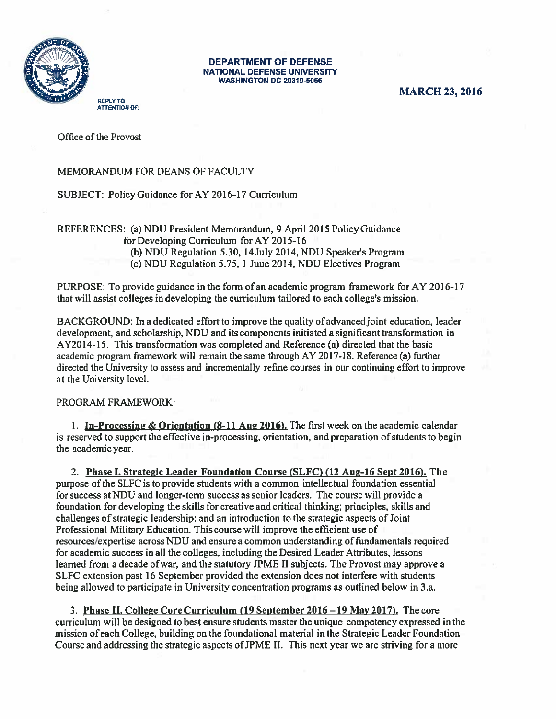

## DEPARTMENT OF DEFENSE<br>NATIONAL DEFENSE UNIVERSITY **WASHINGTON DC 20319-5066**

MARCH 23, 2016

REPLY TO **ATTENTION OF:** 

Office of the Provost

## MEMORANDUM FOR DEANS OF FACULTY

SUBJECT: Policy Guidance for AY 2016-17 Curriculum

REFERENCES: (a)NDU President Memorandum, 9 April 2015 Policy Guidance for Developing Curriculum for AY 2015-16 (b) NDU Regulation 5.30, 14 July 2014, NDU Speaker's Program (c) NDU Regulation 5.75, <sup>1</sup> June 2014, NDU Electives Program

PURPOSE: To provide guidance in the form of an academic program framework forAY 2016-17 that will assist colleges in developing the curriculum tailored to each college's mission.

BACKGROUND: In a dedicated effort to improve the quality of advancedjoint education, leader development, and scholarship, NDU and its components initiated a significant transformation in AY2014-15. This transformation was completed and Reference (a) directed that the basic academic program framework will remain the same through AY 2017-18. Reference (a) further directed the University to assess and incrementally refine courses in our continuing effort to improve at the University level.

PROGRAM FRAMEWORK:

I. In-Processing & Orientation (8-11 Aug 2016). The first week on the academic calendar is reserved to support the effective in-processing, orientation, and preparation of students to begin the academic year.

2. Phase I. Strategic Leader Foundation Course (SLFC) (12 Aug-16 Sept 2016). The purpose ofthe SLFC is to provide students with a common intellectual foundation essential for success atNDU and longer-term success as senior leaders. The course will provide a foundation for developing the skills for creative and critical thinking; principles, skills and challenges of strategic leadership; and an introduction to the strategic aspects of Joint Professional Military Education. This course will improve the efficient use of resources/expertise across NDU and ensure a common understanding offundamentals required for academic success in all the colleges, including the Desired Leader Attributes, lessons learned from a decade ofwar, and the statutory JPME II subjects. The Provost may approve a SLFC extension past 16 September provided the extension does not interfere with students being allowed to participate in University concentration programs as outlined below in 3.a.

3. Phase II. College Core Curriculum (19 September 2016—19 May 2017). The core curriculum will be designed to best ensure students master the unique competency expressed in the mission of each College, building on the foundational material in the Strategic Leader Foundation Course and addressing the strategic aspects ofJPME II. This next year we are striving for a more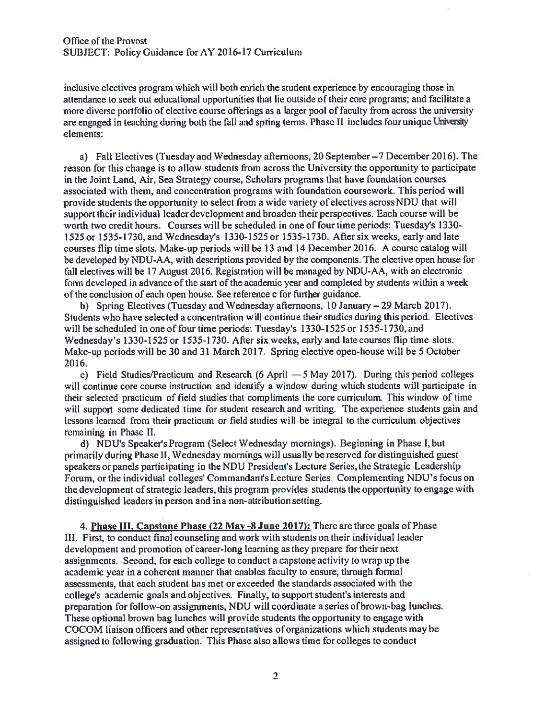inclusive electives program which will both enrich the student experience by encouraging those in attendance to seek out educational opportunities that lie outside of their core programs; and facilitate a more diverse portfolio of elective course offerings as a larger pool of faculty from across the university are engaged in teaching during both the fall and spring terms. Phase II includes four unique University elements:

a) Fall Electives (Tuesday and Wednesday afternoons, 20 September—7 December 2016). The reason for this change is to allow students from across the University the opportunity to participate in the Joint Land, Air, Sea Strategy course, Scholars programs that have foundation courses associated with them, and concentration programs with foundation coursework. This period will provide students the opportunity to select from a wide variety of electives acrossNDU that will support their individual leader development and broaden their perspectives. Each course will be worth two credit hours. Courses will be scheduled in one of four time periods: Tuesday's 1330- 1525 or 1535-1730, and Wednesday's 1330-1525 or 1535-1730. After six weeks, early and late courses flip time slots. Make-up periods will be 13 and 14 December 2016. A course catalog will be developed by NDU-AA, with descriptions provided by the components. The elective open house for fall electives will be 17 August 2016. Registration will be managed by NUU-AA, with an electronic form developed in advance of the start of the academic year and completed by students within <sup>a</sup> week of the conclusion of each open house. See reference c for ftirther guidance.

b) Spring Electives (Tuesday and Wednesday afternoons, 10 January — 29 March 2017). Students who have selected a concentration will continue their studies during this period. Electives will be scheduled in one of four time periods: Tuesday's 1330-1525 or 1535-1730, and Wednesday's 1330-1525 or 1535-1730. After six weeks, early and late courses flip time slots. Make-up periods will be 30 and 31 March 2017. Spring elective open-house will be <sup>5</sup> October 2016.

c) Field Studies/Practicum and Research (6 April —5 May 2017). During this period colleges will continue core course instruction and identify a window during which students will participate in their selected practicum of field studies that compliments the core curriculum. This window of time will support some dedicated time for student research and writing. The experience students gain and lessons learned from their practicum or field studies will be integral to the curriculum objectives remaining in Phase II.

d) NDU's Speaker'sProgram (Select Wednesday mornings). Beginning in Phase l,but primarily during Phase 11, Wednesday mornings will usually be reserved for distinguished guest speakers or panels participating in the NDU President's Lecture Series, the Strategic Leadership Forum, or the individual colleges' Commandant's Lecture Series. Complementing NDU's focus on the development of strategic leaders, this program provides students the opportunity to engage with distinguished leaders in person and in a non-attribution setting.

4. Phase LII. Capstone Phase (22 May -8 June 2017): There are three goals of Phase III. First, to conduct final counseling and work with students on their individual leader development and promotion of career-long learning as they prepare for their next assignments. Second, for each college to conduct a capstone activity to wrap up the academic year in a coherent manner that enables faculty to ensure, through formal assessments, that each student has met or exceeded the standards associated with the college's academic goals and objectives. Finally, to support student's interests and preparation for follow-on assignments, NDU will coordinate a series of brown-bag lunches. These optional brown bag lunches will provide students the opportunity to engage with COCOM liaison officers and other representatives of organizations which students may be assigned to following graduation. This Phase also allows time for colleges to conduct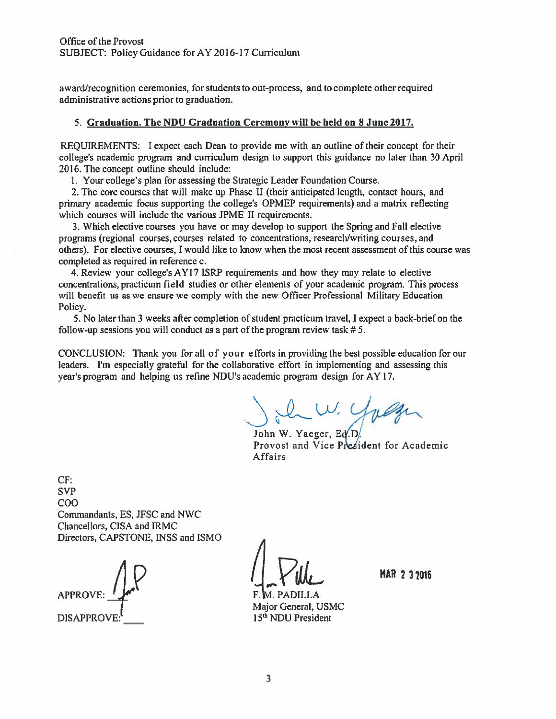award/recognition ceremonies, for students to out-process, and to complete other required administrative actions prior to graduation.

## 5. Graduation. The NDU Graduation Ceremony will be held on 8 June 2017.

REQUIREMENTS: <sup>I</sup> expect each Dean to provide me with an outline of their concept for their college's academic program and curriculum design to support this guidance no later than 30 April 2016. The concept outline should include:

I. Your college's plan for assessing the Strategic Leader Foundation Course.

2. The core courses that will make up Phase II (their anticipated length, contact hours, and primary academic focus supporting the college's OPMEP requirements) and a matrix reflecting which courses will include the various JPME II requirements.

3. Which elective courses you have or may develop to support the Spring and Fall elective programs (regional courses, courses related to concentrations, research/writing courses, and others). For elective courses, <sup>I</sup> would like to know when the most recent assessment of this course was completed as required in reference c.

4. Review your college's AYI 7 ISRP requirements and how they may relate to elective concentrations, practicum field studies or other elements of your academic program. This process will benefit us as we ensure we comply with the new Officer Professional Military Education Policy.

5. No later than <sup>3</sup> weeks after completion of student practicum travel, <sup>I</sup> expect a back-brief on the follow-up sessions you will conduct as a part of the program review task #5.

CONCLUSION: Thank you for all of your efforts in providing the best possible education for our leaders. I'm especially grateftil for the collaborative effort in implementing and assessing this year's program and helping us refine NDU's academic program design for AY 17.

John W. Yuger

Provost and Vice President for Academic Affairs

CF: **SVP** COO Commandants, ES, JFSC and NWC Chancellors, CISA and IRMC Directors, CAPSTONE, INSS and ISMO <sup>A</sup>

**APPROVE** DISAPPROVE:<sup>1</sup> 15<sup>th</sup> NDU President

 $\mathcal{A} \times \mathcal{A}$  MAR 232016

Major General, USMC